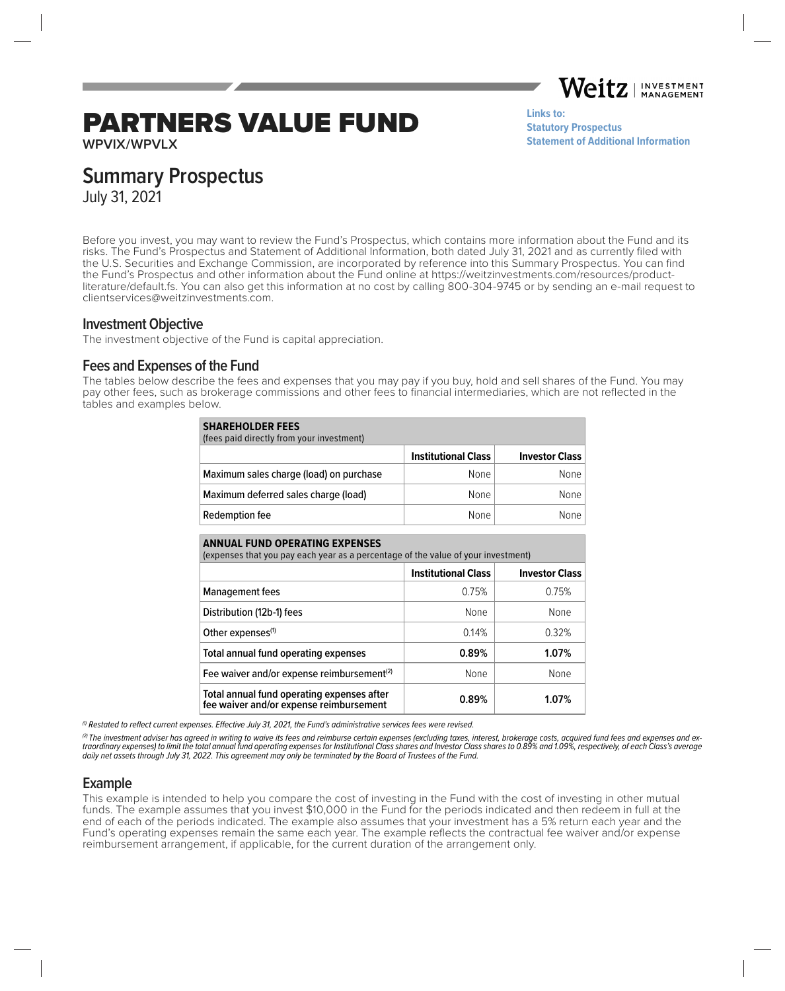Weitz. **INVESTMENT MANAGEMENT** 

# PARTNERS VALUE FUND

**Links to: [Statutory Prospectus](https://weitzinvestments.com/sitefiles/live/documents/funds/prospectuses/WeitzFundsProspectus.pdf) [Statement of Additional Information](https://weitzinvestments.com/sitefiles/live/documents/funds/sai/WeitzSAI.pdf)**

**WPVIX/WPVLX**

# **Summary Prospectus**

July 31, 2021

Before you invest, you may want to review the Fund's Prospectus, which contains more information about the Fund and its risks. The Fund's Prospectus and Statement of Additional Information, both dated July 31, 2021 and as currently filed with the U.S. Securities and Exchange Commission, are incorporated by reference into this Summary Prospectus. You can find the Fund's Prospectus and other information about the Fund online at https://weitzinvestments.com/resources/productliterature/default.fs. You can also get this information at no cost by calling 800-304-9745 or by sending an e-mail request to clientservices@weitzinvestments.com.

#### **Investment Objective**

The investment objective of the Fund is capital appreciation.

# **Fees and Expenses of the Fund**

The tables below describe the fees and expenses that you may pay if you buy, hold and sell shares of the Fund. You may pay other fees, such as brokerage commissions and other fees to financial intermediaries, which are not reflected in the tables and examples below.

| <b>SHAREHOLDER FEES</b><br>(fees paid directly from your investment) |                            |                       |  |
|----------------------------------------------------------------------|----------------------------|-----------------------|--|
|                                                                      | <b>Institutional Class</b> | <b>Investor Class</b> |  |
| Maximum sales charge (load) on purchase                              | None                       | None                  |  |
| Maximum deferred sales charge (load)                                 | None                       | None                  |  |
| Redemption fee                                                       | <b>None</b>                | None                  |  |

| <b>ANNUAL FUND OPERATING EXPENSES</b><br>(expenses that you pay each year as a percentage of the value of your investment) |                            |                       |  |  |
|----------------------------------------------------------------------------------------------------------------------------|----------------------------|-----------------------|--|--|
|                                                                                                                            | <b>Institutional Class</b> | <b>Investor Class</b> |  |  |
| <b>Management fees</b>                                                                                                     | 0.75%                      | 0.75%                 |  |  |
| Distribution (12b-1) fees                                                                                                  | None                       | None                  |  |  |
| Other expenses <sup>(1)</sup>                                                                                              | 0.14%                      | 0.32%                 |  |  |
| Total annual fund operating expenses                                                                                       | 0.89%                      | 1.07%                 |  |  |
| Fee waiver and/or expense reimbursement <sup>(2)</sup>                                                                     | None                       | None                  |  |  |
| Total annual fund operating expenses after<br>fee waiver and/or expense reimbursement                                      | 0.89%                      | 1.07%                 |  |  |

 $<sup>(1)</sup>$  Restated to reflect current expenses. Effective July 31, 2021, the Fund's administrative services fees were revised.</sup>

(2) The investment adviser has agreed in writing to waive its fees and reimburse certain expenses (excluding taxes, interest, brokerage costs, acquired fund fees and expenses and extraordinary expenses) to limit the total annual fund operating expenses for Institutional Class shares and Investor Class shares to 0.89% and 1.09%, respectively, of each Class's average daily net assets through July 31, 2022. This agreement may only be terminated by the Board of Trustees of the Fund.

# **Example**

This example is intended to help you compare the cost of investing in the Fund with the cost of investing in other mutual funds. The example assumes that you invest \$10,000 in the Fund for the periods indicated and then redeem in full at the end of each of the periods indicated. The example also assumes that your investment has a 5% return each year and the Fund's operating expenses remain the same each year. The example reflects the contractual fee waiver and/or expense reimbursement arrangement, if applicable, for the current duration of the arrangement only.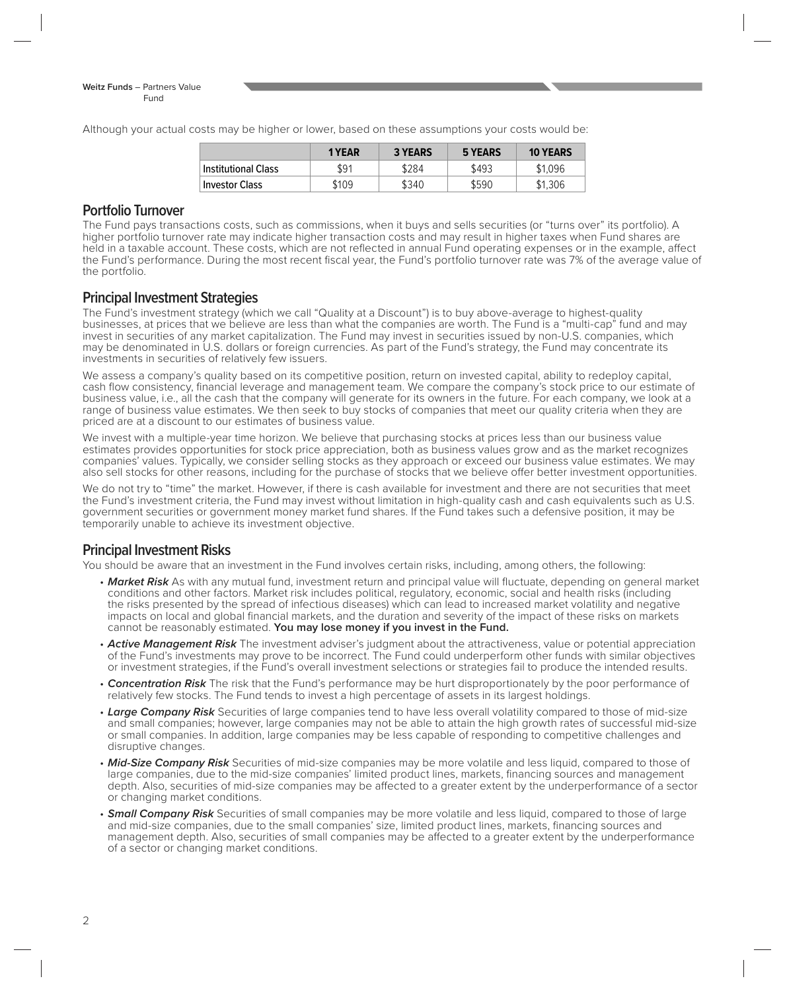Although your actual costs may be higher or lower, based on these assumptions your costs would be:

|                       | 1 YEAR | <b>3 YEARS</b> | 5 YEARS | <b>10 YEARS</b> |
|-----------------------|--------|----------------|---------|-----------------|
| Institutional Class   | \$91   | \$284          | \$493   | \$1.096         |
| <b>Investor Class</b> | \$109  | \$340          | \$590   | \$1,306         |

#### **Portfolio Turnover**

The Fund pays transactions costs, such as commissions, when it buys and sells securities (or "turns over" its portfolio). A higher portfolio turnover rate may indicate higher transaction costs and may result in higher taxes when Fund shares are held in a taxable account. These costs, which are not reflected in annual Fund operating expenses or in the example, affect the Fund's performance. During the most recent fiscal year, the Fund's portfolio turnover rate was 7% of the average value of the portfolio.

#### **Principal Investment Strategies**

The Fund's investment strategy (which we call "Quality at a Discount") is to buy above-average to highest-quality businesses, at prices that we believe are less than what the companies are worth. The Fund is a "multi-cap" fund and may invest in securities of any market capitalization. The Fund may invest in securities issued by non-U.S. companies, which may be denominated in U.S. dollars or foreign currencies. As part of the Fund's strategy, the Fund may concentrate its investments in securities of relatively few issuers.

We assess a company's quality based on its competitive position, return on invested capital, ability to redeploy capital, cash flow consistency, financial leverage and management team. We compare the company's stock price to our estimate of business value, i.e., all the cash that the company will generate for its owners in the future. For each company, we look at a range of business value estimates. We then seek to buy stocks of companies that meet our quality criteria when they are priced are at a discount to our estimates of business value.

We invest with a multiple-year time horizon. We believe that purchasing stocks at prices less than our business value estimates provides opportunities for stock price appreciation, both as business values grow and as the market recognizes companies' values. Typically, we consider selling stocks as they approach or exceed our business value estimates. We may also sell stocks for other reasons, including for the purchase of stocks that we believe offer better investment opportunities.

We do not try to "time" the market. However, if there is cash available for investment and there are not securities that meet the Fund's investment criteria, the Fund may invest without limitation in high-quality cash and cash equivalents such as U.S. government securities or government money market fund shares. If the Fund takes such a defensive position, it may be temporarily unable to achieve its investment objective.

# **Principal Investment Risks**

You should be aware that an investment in the Fund involves certain risks, including, among others, the following:

- Market Risk As with any mutual fund, investment return and principal value will fluctuate, depending on general market conditions and other factors. Market risk includes political, regulatory, economic, social and health risks (including the risks presented by the spread of infectious diseases) which can lead to increased market volatility and negative impacts on local and global financial markets, and the duration and severity of the impact of these risks on markets cannot be reasonably estimated. **You may lose money if you invest in the Fund.**
- **Active Management Risk** The investment adviser's judgment about the attractiveness, value or potential appreciation of the Fund's investments may prove to be incorrect. The Fund could underperform other funds with similar objectives or investment strategies, if the Fund's overall investment selections or strategies fail to produce the intended results.
- **Concentration Risk** The risk that the Fund's performance may be hurt disproportionately by the poor performance of relatively few stocks. The Fund tends to invest a high percentage of assets in its largest holdings.
- **Large Company Risk** Securities of large companies tend to have less overall volatility compared to those of mid-size and small companies; however, large companies may not be able to attain the high growth rates of successful mid-size or small companies. In addition, large companies may be less capable of responding to competitive challenges and disruptive changes.
- **Mid-Size Company Risk** Securities of mid-size companies may be more volatile and less liquid, compared to those of large companies, due to the mid-size companies' limited product lines, markets, financing sources and management depth. Also, securities of mid-size companies may be affected to a greater extent by the underperformance of a sector or changing market conditions.
- **Small Company Risk** Securities of small companies may be more volatile and less liquid, compared to those of large and mid-size companies, due to the small companies' size, limited product lines, markets, financing sources and management depth. Also, securities of small companies may be affected to a greater extent by the underperformance of a sector or changing market conditions.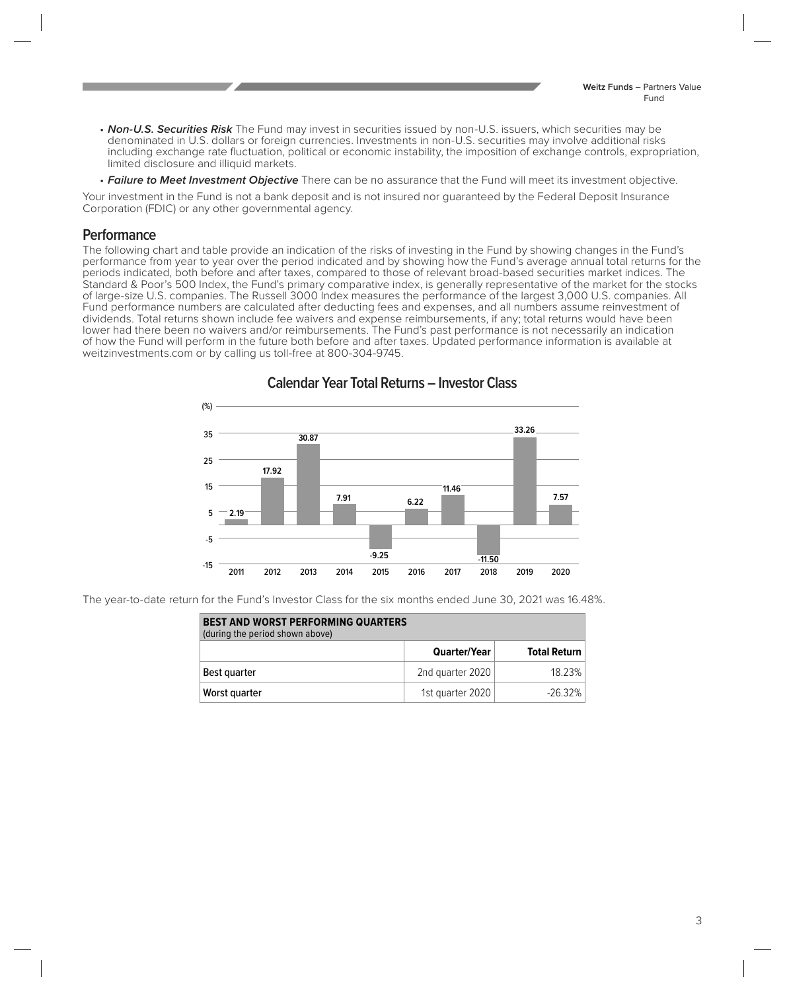- **Non-U.S. Securities Risk** The Fund may invest in securities issued by non-U.S. issuers, which securities may be denominated in U.S. dollars or foreign currencies. Investments in non-U.S. securities may involve additional risks including exchange rate fluctuation, political or economic instability, the imposition of exchange controls, expropriation, limited disclosure and illiquid markets.
- **Failure to Meet Investment Objective** There can be no assurance that the Fund will meet its investment objective.

Your investment in the Fund is not a bank deposit and is not insured nor guaranteed by the Federal Deposit Insurance Corporation (FDIC) or any other governmental agency.

#### **Performance**

The following chart and table provide an indication of the risks of investing in the Fund by showing changes in the Fund's performance from year to year over the period indicated and by showing how the Fund's average annual total returns for the periods indicated, both before and after taxes, compared to those of relevant broad-based securities market indices. The Standard & Poor's 500 Index, the Fund's primary comparative index, is generally representative of the market for the stocks of large-size U.S. companies. The Russell 3000 Index measures the performance of the largest 3,000 U.S. companies. All Fund performance numbers are calculated after deducting fees and expenses, and all numbers assume reinvestment of dividends. Total returns shown include fee waivers and expense reimbursements, if any; total returns would have been lower had there been no waivers and/or reimbursements. The Fund's past performance is not necessarily an indication of how the Fund will perform in the future both before and after taxes. Updated performance information is available at weitzinvestments.com or by calling us toll-free at 800-304-9745.



**Calendar Year Total Returns – Investor Class** 

The year-to-date return for the Fund's Investor Class for the six months ended June 30, 2021 was 16.48%.

| <b>BEST AND WORST PERFORMING QUARTERS</b><br>(during the period shown above) |                  |                     |  |
|------------------------------------------------------------------------------|------------------|---------------------|--|
|                                                                              | Quarter/Year     | <b>Total Return</b> |  |
| Best quarter                                                                 | 2nd quarter 2020 | 18.23%              |  |
| Worst quarter                                                                | 1st guarter 2020 | $-26.32\%$          |  |